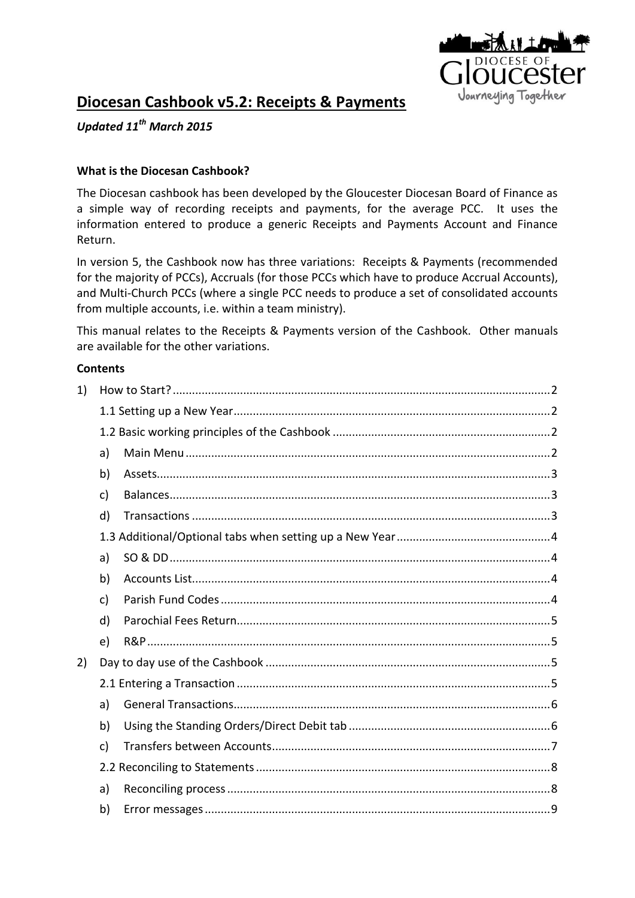

# **Diocesan Cashbook v5.2: Receipts & Payments**

*Updated 11th March 2015*

#### **What is the Diocesan Cashbook?**

The Diocesan cashbook has been developed by the Gloucester Diocesan Board of Finance as a simple way of recording receipts and payments, for the average PCC. It uses the information entered to produce a generic Receipts and Payments Account and Finance Return.

In version 5, the Cashbook now has three variations: Receipts & Payments (recommended for the majority of PCCs), Accruals (for those PCCs which have to produce Accrual Accounts), and Multi-Church PCCs (where a single PCC needs to produce a set of consolidated accounts from multiple accounts, i.e. within a team ministry).

This manual relates to the Receipts & Payments version of the Cashbook. Other manuals are available for the other variations.

#### **Contents**

| 1) |    |  |  |  |
|----|----|--|--|--|
|    |    |  |  |  |
|    |    |  |  |  |
|    | a) |  |  |  |
|    | b) |  |  |  |
|    | c) |  |  |  |
|    | d) |  |  |  |
|    |    |  |  |  |
|    | a) |  |  |  |
|    | b) |  |  |  |
|    | c) |  |  |  |
|    | d) |  |  |  |
|    | e) |  |  |  |
| 2) |    |  |  |  |
|    |    |  |  |  |
|    | a) |  |  |  |
|    | b) |  |  |  |
|    | c) |  |  |  |
|    |    |  |  |  |
|    | a) |  |  |  |
|    | b) |  |  |  |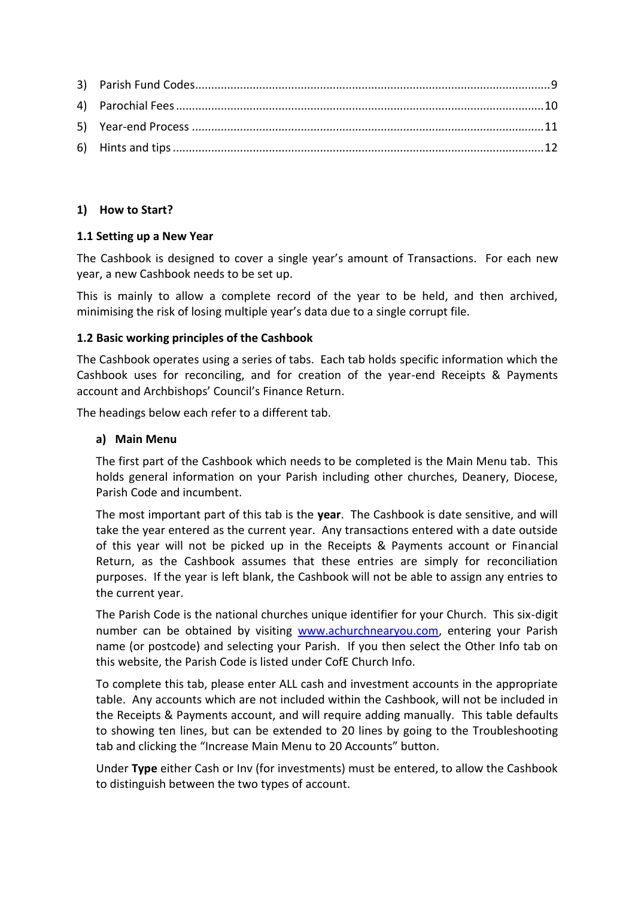# <span id="page-1-0"></span>**1) How to Start?**

# <span id="page-1-1"></span>**1.1 Setting up a New Year**

The Cashbook is designed to cover a single year's amount of Transactions. For each new year, a new Cashbook needs to be set up.

This is mainly to allow a complete record of the year to be held, and then archived, minimising the risk of losing multiple year's data due to a single corrupt file.

#### <span id="page-1-2"></span>**1.2 Basic working principles of the Cashbook**

The Cashbook operates using a series of tabs. Each tab holds specific information which the Cashbook uses for reconciling, and for creation of the year-end Receipts & Payments account and Archbishops' Council's Finance Return.

<span id="page-1-3"></span>The headings below each refer to a different tab.

#### **a) Main Menu**

The first part of the Cashbook which needs to be completed is the Main Menu tab. This holds general information on your Parish including other churches, Deanery, Diocese, Parish Code and incumbent.

The most important part of this tab is the **year**. The Cashbook is date sensitive, and will take the year entered as the current year. Any transactions entered with a date outside of this year will not be picked up in the Receipts & Payments account or Financial Return, as the Cashbook assumes that these entries are simply for reconciliation purposes. If the year is left blank, the Cashbook will not be able to assign any entries to the current year.

The Parish Code is the national churches unique identifier for your Church. This six-digit number can be obtained by visiting [www.achurchnearyou.com,](http://www.achurchnearyou.com/) entering your Parish name (or postcode) and selecting your Parish. If you then select the Other Info tab on this website, the Parish Code is listed under CofE Church Info.

To complete this tab, please enter ALL cash and investment accounts in the appropriate table. Any accounts which are not included within the Cashbook, will not be included in the Receipts & Payments account, and will require adding manually. This table defaults to showing ten lines, but can be extended to 20 lines by going to the Troubleshooting tab and clicking the "Increase Main Menu to 20 Accounts" button.

Under **Type** either Cash or Inv (for investments) must be entered, to allow the Cashbook to distinguish between the two types of account.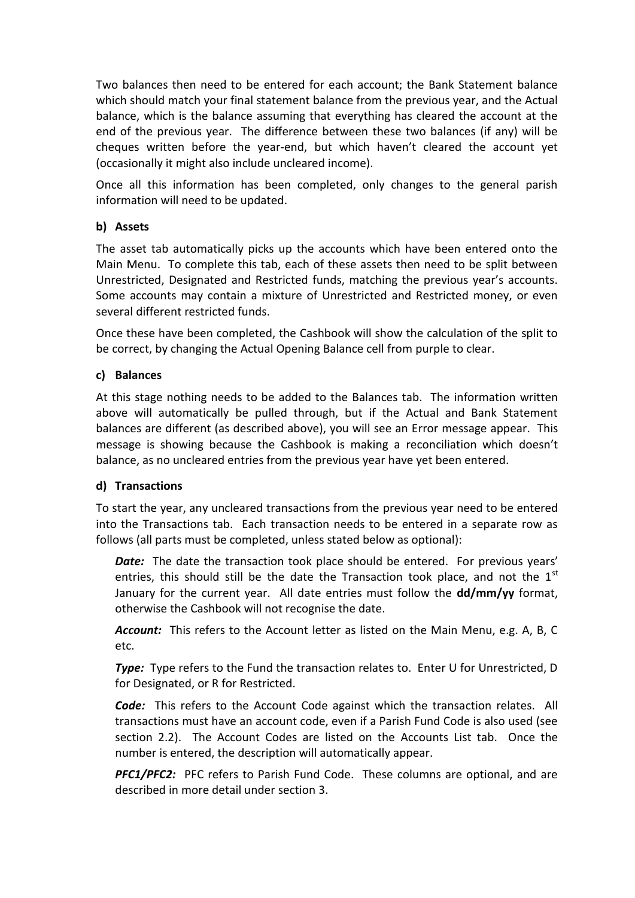Two balances then need to be entered for each account; the Bank Statement balance which should match your final statement balance from the previous year, and the Actual balance, which is the balance assuming that everything has cleared the account at the end of the previous year. The difference between these two balances (if any) will be cheques written before the year-end, but which haven't cleared the account yet (occasionally it might also include uncleared income).

Once all this information has been completed, only changes to the general parish information will need to be updated.

# <span id="page-2-0"></span>**b) Assets**

The asset tab automatically picks up the accounts which have been entered onto the Main Menu. To complete this tab, each of these assets then need to be split between Unrestricted, Designated and Restricted funds, matching the previous year's accounts. Some accounts may contain a mixture of Unrestricted and Restricted money, or even several different restricted funds.

Once these have been completed, the Cashbook will show the calculation of the split to be correct, by changing the Actual Opening Balance cell from purple to clear.

# <span id="page-2-1"></span>**c) Balances**

At this stage nothing needs to be added to the Balances tab. The information written above will automatically be pulled through, but if the Actual and Bank Statement balances are different (as described above), you will see an Error message appear. This message is showing because the Cashbook is making a reconciliation which doesn't balance, as no uncleared entries from the previous year have yet been entered.

# <span id="page-2-2"></span>**d) Transactions**

To start the year, any uncleared transactions from the previous year need to be entered into the Transactions tab. Each transaction needs to be entered in a separate row as follows (all parts must be completed, unless stated below as optional):

**Date:** The date the transaction took place should be entered. For previous years' entries, this should still be the date the Transaction took place, and not the  $1<sup>st</sup>$ January for the current year. All date entries must follow the **dd/mm/yy** format, otherwise the Cashbook will not recognise the date.

*Account:* This refers to the Account letter as listed on the Main Menu, e.g. A, B, C etc.

**Type:** Type refers to the Fund the transaction relates to. Enter U for Unrestricted, D for Designated, or R for Restricted.

*Code:* This refers to the Account Code against which the transaction relates. All transactions must have an account code, even if a Parish Fund Code is also used (see section 2.2). The Account Codes are listed on the Accounts List tab. Once the number is entered, the description will automatically appear.

PFC1/PFC2: PFC refers to Parish Fund Code. These columns are optional, and are described in more detail under section 3.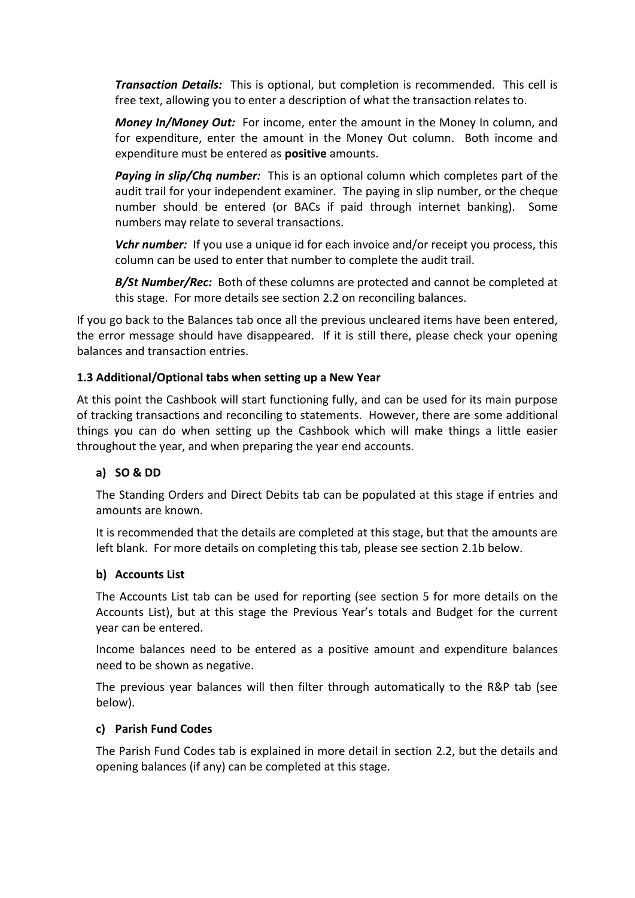*Transaction Details:* This is optional, but completion is recommended. This cell is free text, allowing you to enter a description of what the transaction relates to.

*Money In/Money Out:*For income, enter the amount in the Money In column, and for expenditure, enter the amount in the Money Out column. Both income and expenditure must be entered as **positive** amounts.

*Paying in slip/Chq number:* This is an optional column which completes part of the audit trail for your independent examiner. The paying in slip number, or the cheque number should be entered (or BACs if paid through internet banking). Some numbers may relate to several transactions.

*Vchr number:* If you use a unique id for each invoice and/or receipt you process, this column can be used to enter that number to complete the audit trail.

*B/St Number/Rec:* Both of these columns are protected and cannot be completed at this stage. For more details see section 2.2 on reconciling balances.

If you go back to the Balances tab once all the previous uncleared items have been entered, the error message should have disappeared. If it is still there, please check your opening balances and transaction entries.

# <span id="page-3-0"></span>**1.3 Additional/Optional tabs when setting up a New Year**

At this point the Cashbook will start functioning fully, and can be used for its main purpose of tracking transactions and reconciling to statements. However, there are some additional things you can do when setting up the Cashbook which will make things a little easier throughout the year, and when preparing the year end accounts.

# <span id="page-3-1"></span>**a) SO & DD**

The Standing Orders and Direct Debits tab can be populated at this stage if entries and amounts are known.

It is recommended that the details are completed at this stage, but that the amounts are left blank. For more details on completing this tab, please see section 2.1b below.

#### <span id="page-3-2"></span>**b) Accounts List**

The Accounts List tab can be used for reporting (see section 5 for more details on the Accounts List), but at this stage the Previous Year's totals and Budget for the current year can be entered.

Income balances need to be entered as a positive amount and expenditure balances need to be shown as negative.

The previous year balances will then filter through automatically to the R&P tab (see below).

#### <span id="page-3-3"></span>**c) Parish Fund Codes**

The Parish Fund Codes tab is explained in more detail in section 2.2, but the details and opening balances (if any) can be completed at this stage.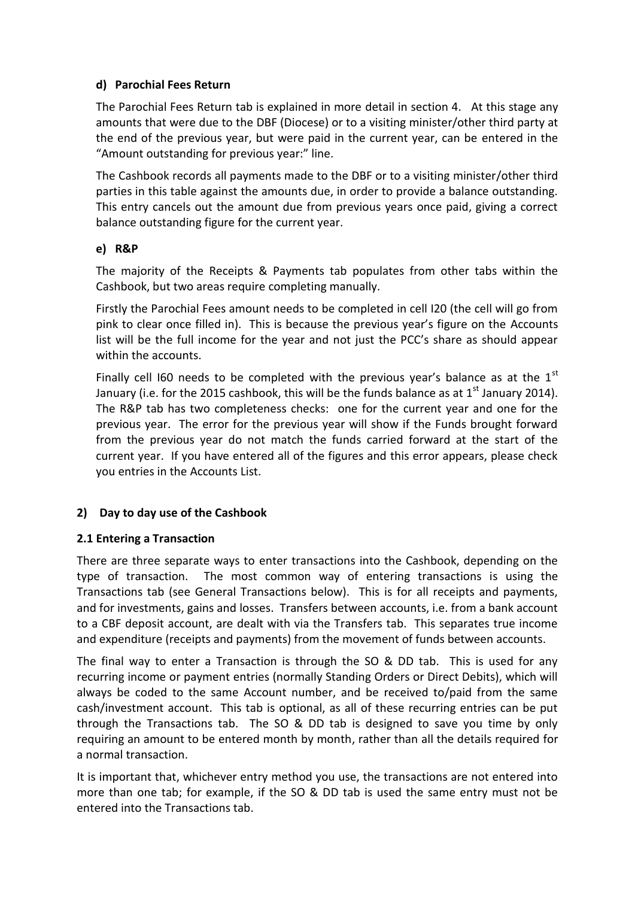# <span id="page-4-0"></span>**d) Parochial Fees Return**

The Parochial Fees Return tab is explained in more detail in section 4. At this stage any amounts that were due to the DBF (Diocese) or to a visiting minister/other third party at the end of the previous year, but were paid in the current year, can be entered in the "Amount outstanding for previous year:" line.

The Cashbook records all payments made to the DBF or to a visiting minister/other third parties in this table against the amounts due, in order to provide a balance outstanding. This entry cancels out the amount due from previous years once paid, giving a correct balance outstanding figure for the current year.

#### <span id="page-4-1"></span>**e) R&P**

The majority of the Receipts & Payments tab populates from other tabs within the Cashbook, but two areas require completing manually.

Firstly the Parochial Fees amount needs to be completed in cell I20 (the cell will go from pink to clear once filled in). This is because the previous year's figure on the Accounts list will be the full income for the year and not just the PCC's share as should appear within the accounts.

Finally cell I60 needs to be completed with the previous year's balance as at the  $1<sup>st</sup>$ January (i.e. for the 2015 cashbook, this will be the funds balance as at  $1<sup>st</sup>$  January 2014). The R&P tab has two completeness checks: one for the current year and one for the previous year. The error for the previous year will show if the Funds brought forward from the previous year do not match the funds carried forward at the start of the current year. If you have entered all of the figures and this error appears, please check you entries in the Accounts List.

# <span id="page-4-2"></span>**2) Day to day use of the Cashbook**

# <span id="page-4-3"></span>**2.1 Entering a Transaction**

There are three separate ways to enter transactions into the Cashbook, depending on the type of transaction. The most common way of entering transactions is using the Transactions tab (see General Transactions below). This is for all receipts and payments, and for investments, gains and losses. Transfers between accounts, i.e. from a bank account to a CBF deposit account, are dealt with via the Transfers tab. This separates true income and expenditure (receipts and payments) from the movement of funds between accounts.

The final way to enter a Transaction is through the SO & DD tab. This is used for any recurring income or payment entries (normally Standing Orders or Direct Debits), which will always be coded to the same Account number, and be received to/paid from the same cash/investment account. This tab is optional, as all of these recurring entries can be put through the Transactions tab. The SO & DD tab is designed to save you time by only requiring an amount to be entered month by month, rather than all the details required for a normal transaction.

It is important that, whichever entry method you use, the transactions are not entered into more than one tab; for example, if the SO & DD tab is used the same entry must not be entered into the Transactions tab.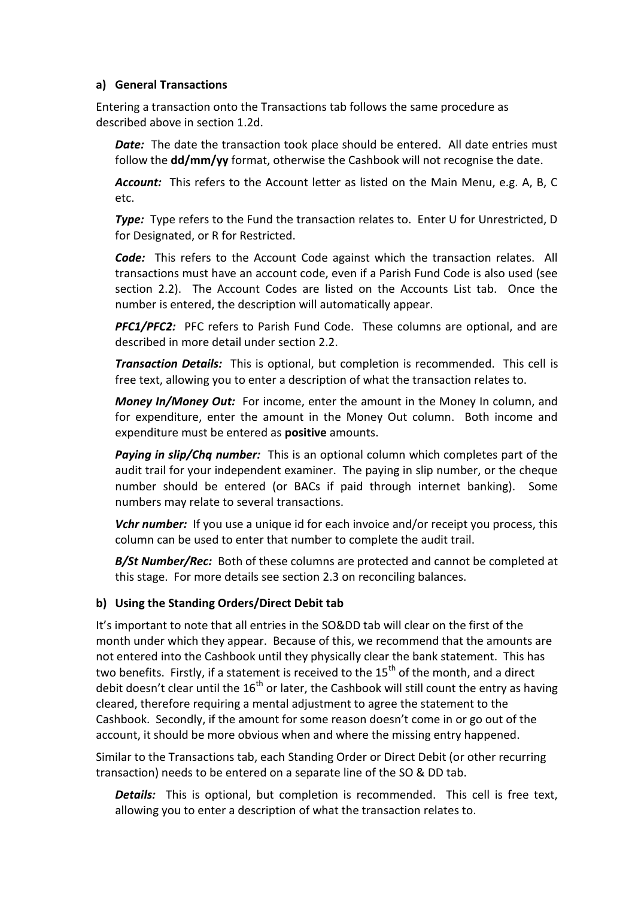#### <span id="page-5-0"></span>**a) General Transactions**

Entering a transaction onto the Transactions tab follows the same procedure as described above in section 1.2d.

**Date:** The date the transaction took place should be entered. All date entries must follow the **dd/mm/yy** format, otherwise the Cashbook will not recognise the date.

*Account:* This refers to the Account letter as listed on the Main Menu, e.g. A, B, C etc.

**Type:** Type refers to the Fund the transaction relates to. Enter U for Unrestricted, D for Designated, or R for Restricted.

*Code:* This refers to the Account Code against which the transaction relates. All transactions must have an account code, even if a Parish Fund Code is also used (see section 2.2). The Account Codes are listed on the Accounts List tab. Once the number is entered, the description will automatically appear.

**PFC1/PFC2:** PFC refers to Parish Fund Code. These columns are optional, and are described in more detail under section 2.2.

*Transaction Details:* This is optional, but completion is recommended. This cell is free text, allowing you to enter a description of what the transaction relates to.

*Money In/Money Out:* For income, enter the amount in the Money In column, and for expenditure, enter the amount in the Money Out column. Both income and expenditure must be entered as **positive** amounts.

*Paying in slip/Chq number:* This is an optional column which completes part of the audit trail for your independent examiner. The paying in slip number, or the cheque number should be entered (or BACs if paid through internet banking). Some numbers may relate to several transactions.

*Vchr number:* If you use a unique id for each invoice and/or receipt you process, this column can be used to enter that number to complete the audit trail.

*B/St Number/Rec:* Both of these columns are protected and cannot be completed at this stage. For more details see section 2.3 on reconciling balances.

# <span id="page-5-1"></span>**b) Using the Standing Orders/Direct Debit tab**

It's important to note that all entries in the SO&DD tab will clear on the first of the month under which they appear. Because of this, we recommend that the amounts are not entered into the Cashbook until they physically clear the bank statement. This has two benefits. Firstly, if a statement is received to the  $15<sup>th</sup>$  of the month, and a direct debit doesn't clear until the  $16<sup>th</sup>$  or later, the Cashbook will still count the entry as having cleared, therefore requiring a mental adjustment to agree the statement to the Cashbook. Secondly, if the amount for some reason doesn't come in or go out of the account, it should be more obvious when and where the missing entry happened.

Similar to the Transactions tab, each Standing Order or Direct Debit (or other recurring transaction) needs to be entered on a separate line of the SO & DD tab.

*Details:* This is optional, but completion is recommended. This cell is free text, allowing you to enter a description of what the transaction relates to.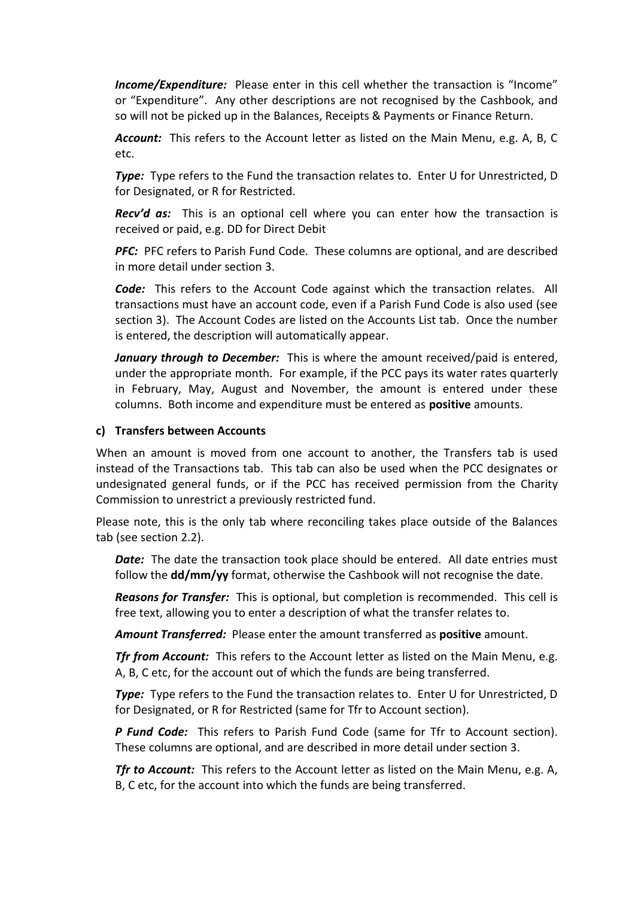*Income/Expenditure:* Please enter in this cell whether the transaction is "Income" or "Expenditure". Any other descriptions are not recognised by the Cashbook, and so will not be picked up in the Balances, Receipts & Payments or Finance Return.

*Account:* This refers to the Account letter as listed on the Main Menu, e.g. A, B, C etc.

**Type:** Type refers to the Fund the transaction relates to. Enter U for Unrestricted, D for Designated, or R for Restricted.

*Recv'd as:* This is an optional cell where you can enter how the transaction is received or paid, e.g. DD for Direct Debit

*PFC:* PFC refers to Parish Fund Code. These columns are optional, and are described in more detail under section 3.

*Code:* This refers to the Account Code against which the transaction relates. All transactions must have an account code, even if a Parish Fund Code is also used (see section 3). The Account Codes are listed on the Accounts List tab. Once the number is entered, the description will automatically appear.

*January through to December:* This is where the amount received/paid is entered, under the appropriate month. For example, if the PCC pays its water rates quarterly in February, May, August and November, the amount is entered under these columns. Both income and expenditure must be entered as **positive** amounts.

#### <span id="page-6-0"></span>**c) Transfers between Accounts**

When an amount is moved from one account to another, the Transfers tab is used instead of the Transactions tab. This tab can also be used when the PCC designates or undesignated general funds, or if the PCC has received permission from the Charity Commission to unrestrict a previously restricted fund.

Please note, this is the only tab where reconciling takes place outside of the Balances tab (see section 2.2).

**Date:** The date the transaction took place should be entered. All date entries must follow the **dd/mm/yy** format, otherwise the Cashbook will not recognise the date.

*Reasons for Transfer:* This is optional, but completion is recommended. This cell is free text, allowing you to enter a description of what the transfer relates to.

*Amount Transferred:* Please enter the amount transferred as **positive** amount.

*Tfr from Account:* This refers to the Account letter as listed on the Main Menu, e.g. A, B, C etc, for the account out of which the funds are being transferred.

*Type:* Type refers to the Fund the transaction relates to. Enter U for Unrestricted, D for Designated, or R for Restricted (same for Tfr to Account section).

**P Fund Code:** This refers to Parish Fund Code (same for Tfr to Account section). These columns are optional, and are described in more detail under section 3.

*Tfr to Account:* This refers to the Account letter as listed on the Main Menu, e.g. A, B, C etc, for the account into which the funds are being transferred.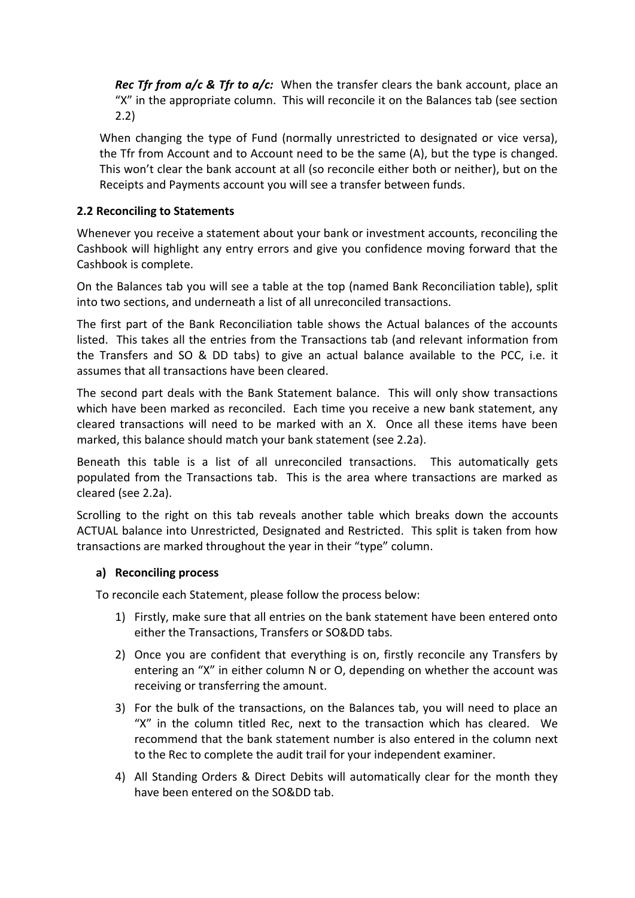*Rec Tfr from a/c & Tfr to a/c:* When the transfer clears the bank account, place an "X" in the appropriate column. This will reconcile it on the Balances tab (see section 2.2)

When changing the type of Fund (normally unrestricted to designated or vice versa), the Tfr from Account and to Account need to be the same (A), but the type is changed. This won't clear the bank account at all (so reconcile either both or neither), but on the Receipts and Payments account you will see a transfer between funds.

# <span id="page-7-0"></span>**2.2 Reconciling to Statements**

Whenever you receive a statement about your bank or investment accounts, reconciling the Cashbook will highlight any entry errors and give you confidence moving forward that the Cashbook is complete.

On the Balances tab you will see a table at the top (named Bank Reconciliation table), split into two sections, and underneath a list of all unreconciled transactions.

The first part of the Bank Reconciliation table shows the Actual balances of the accounts listed. This takes all the entries from the Transactions tab (and relevant information from the Transfers and SO & DD tabs) to give an actual balance available to the PCC, i.e. it assumes that all transactions have been cleared.

The second part deals with the Bank Statement balance. This will only show transactions which have been marked as reconciled. Each time you receive a new bank statement, any cleared transactions will need to be marked with an X. Once all these items have been marked, this balance should match your bank statement (see 2.2a).

Beneath this table is a list of all unreconciled transactions. This automatically gets populated from the Transactions tab. This is the area where transactions are marked as cleared (see 2.2a).

Scrolling to the right on this tab reveals another table which breaks down the accounts ACTUAL balance into Unrestricted, Designated and Restricted. This split is taken from how transactions are marked throughout the year in their "type" column.

#### <span id="page-7-1"></span>**a) Reconciling process**

To reconcile each Statement, please follow the process below:

- 1) Firstly, make sure that all entries on the bank statement have been entered onto either the Transactions, Transfers or SO&DD tabs.
- 2) Once you are confident that everything is on, firstly reconcile any Transfers by entering an "X" in either column N or O, depending on whether the account was receiving or transferring the amount.
- 3) For the bulk of the transactions, on the Balances tab, you will need to place an "X" in the column titled Rec, next to the transaction which has cleared. We recommend that the bank statement number is also entered in the column next to the Rec to complete the audit trail for your independent examiner.
- 4) All Standing Orders & Direct Debits will automatically clear for the month they have been entered on the SO&DD tab.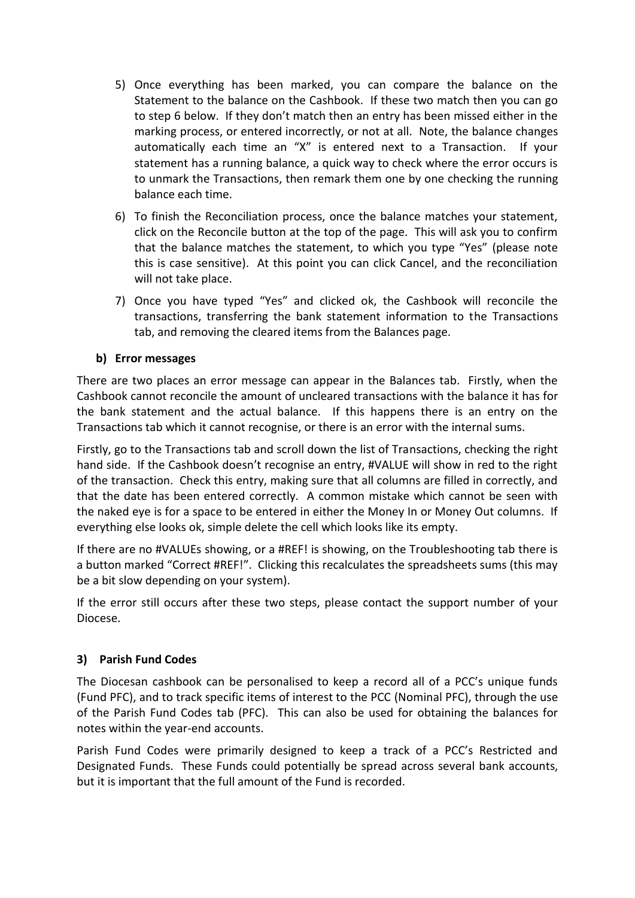- 5) Once everything has been marked, you can compare the balance on the Statement to the balance on the Cashbook. If these two match then you can go to step 6 below. If they don't match then an entry has been missed either in the marking process, or entered incorrectly, or not at all. Note, the balance changes automatically each time an "X" is entered next to a Transaction. If your statement has a running balance, a quick way to check where the error occurs is to unmark the Transactions, then remark them one by one checking the running balance each time.
- 6) To finish the Reconciliation process, once the balance matches your statement, click on the Reconcile button at the top of the page. This will ask you to confirm that the balance matches the statement, to which you type "Yes" (please note this is case sensitive). At this point you can click Cancel, and the reconciliation will not take place.
- 7) Once you have typed "Yes" and clicked ok, the Cashbook will reconcile the transactions, transferring the bank statement information to the Transactions tab, and removing the cleared items from the Balances page.

#### <span id="page-8-0"></span>**b) Error messages**

There are two places an error message can appear in the Balances tab. Firstly, when the Cashbook cannot reconcile the amount of uncleared transactions with the balance it has for the bank statement and the actual balance. If this happens there is an entry on the Transactions tab which it cannot recognise, or there is an error with the internal sums.

Firstly, go to the Transactions tab and scroll down the list of Transactions, checking the right hand side. If the Cashbook doesn't recognise an entry, #VALUE will show in red to the right of the transaction. Check this entry, making sure that all columns are filled in correctly, and that the date has been entered correctly. A common mistake which cannot be seen with the naked eye is for a space to be entered in either the Money In or Money Out columns. If everything else looks ok, simple delete the cell which looks like its empty.

If there are no #VALUEs showing, or a #REF! is showing, on the Troubleshooting tab there is a button marked "Correct #REF!". Clicking this recalculates the spreadsheets sums (this may be a bit slow depending on your system).

If the error still occurs after these two steps, please contact the support number of your Diocese.

# <span id="page-8-1"></span>**3) Parish Fund Codes**

The Diocesan cashbook can be personalised to keep a record all of a PCC's unique funds (Fund PFC), and to track specific items of interest to the PCC (Nominal PFC), through the use of the Parish Fund Codes tab (PFC). This can also be used for obtaining the balances for notes within the year-end accounts.

Parish Fund Codes were primarily designed to keep a track of a PCC's Restricted and Designated Funds. These Funds could potentially be spread across several bank accounts, but it is important that the full amount of the Fund is recorded.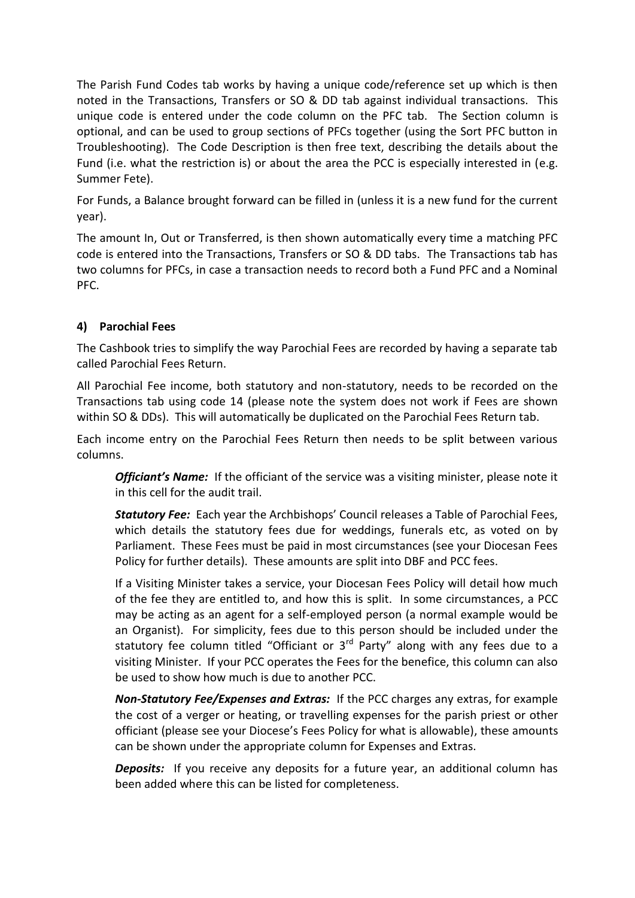The Parish Fund Codes tab works by having a unique code/reference set up which is then noted in the Transactions, Transfers or SO & DD tab against individual transactions. This unique code is entered under the code column on the PFC tab. The Section column is optional, and can be used to group sections of PFCs together (using the Sort PFC button in Troubleshooting). The Code Description is then free text, describing the details about the Fund (i.e. what the restriction is) or about the area the PCC is especially interested in (e.g. Summer Fete).

For Funds, a Balance brought forward can be filled in (unless it is a new fund for the current year).

The amount In, Out or Transferred, is then shown automatically every time a matching PFC code is entered into the Transactions, Transfers or SO & DD tabs. The Transactions tab has two columns for PFCs, in case a transaction needs to record both a Fund PFC and a Nominal PFC.

# <span id="page-9-0"></span>**4) Parochial Fees**

The Cashbook tries to simplify the way Parochial Fees are recorded by having a separate tab called Parochial Fees Return.

All Parochial Fee income, both statutory and non-statutory, needs to be recorded on the Transactions tab using code 14 (please note the system does not work if Fees are shown within SO & DDs). This will automatically be duplicated on the Parochial Fees Return tab.

Each income entry on the Parochial Fees Return then needs to be split between various columns.

*Officiant's Name:* If the officiant of the service was a visiting minister, please note it in this cell for the audit trail.

*Statutory Fee:* Each year the Archbishops' Council releases a Table of Parochial Fees, which details the statutory fees due for weddings, funerals etc, as voted on by Parliament. These Fees must be paid in most circumstances (see your Diocesan Fees Policy for further details). These amounts are split into DBF and PCC fees.

If a Visiting Minister takes a service, your Diocesan Fees Policy will detail how much of the fee they are entitled to, and how this is split. In some circumstances, a PCC may be acting as an agent for a self-employed person (a normal example would be an Organist). For simplicity, fees due to this person should be included under the statutory fee column titled "Officiant or  $3<sup>rd</sup>$  Party" along with any fees due to a visiting Minister. If your PCC operates the Fees for the benefice, this column can also be used to show how much is due to another PCC.

*Non-Statutory Fee/Expenses and Extras:* If the PCC charges any extras, for example the cost of a verger or heating, or travelling expenses for the parish priest or other officiant (please see your Diocese's Fees Policy for what is allowable), these amounts can be shown under the appropriate column for Expenses and Extras.

*Deposits:* If you receive any deposits for a future year, an additional column has been added where this can be listed for completeness.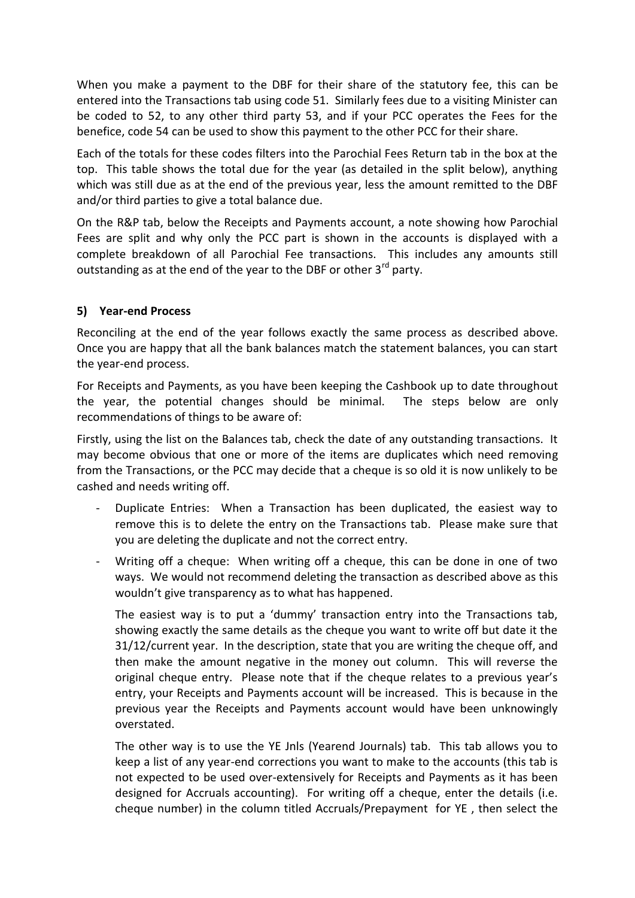When you make a payment to the DBF for their share of the statutory fee, this can be entered into the Transactions tab using code 51. Similarly fees due to a visiting Minister can be coded to 52, to any other third party 53, and if your PCC operates the Fees for the benefice, code 54 can be used to show this payment to the other PCC for their share.

Each of the totals for these codes filters into the Parochial Fees Return tab in the box at the top. This table shows the total due for the year (as detailed in the split below), anything which was still due as at the end of the previous year, less the amount remitted to the DBF and/or third parties to give a total balance due.

On the R&P tab, below the Receipts and Payments account, a note showing how Parochial Fees are split and why only the PCC part is shown in the accounts is displayed with a complete breakdown of all Parochial Fee transactions. This includes any amounts still outstanding as at the end of the year to the DBF or other 3<sup>rd</sup> party.

#### <span id="page-10-0"></span>**5) Year-end Process**

Reconciling at the end of the year follows exactly the same process as described above. Once you are happy that all the bank balances match the statement balances, you can start the year-end process.

For Receipts and Payments, as you have been keeping the Cashbook up to date throughout the year, the potential changes should be minimal. The steps below are only recommendations of things to be aware of:

Firstly, using the list on the Balances tab, check the date of any outstanding transactions. It may become obvious that one or more of the items are duplicates which need removing from the Transactions, or the PCC may decide that a cheque is so old it is now unlikely to be cashed and needs writing off.

- Duplicate Entries: When a Transaction has been duplicated, the easiest way to remove this is to delete the entry on the Transactions tab. Please make sure that you are deleting the duplicate and not the correct entry.
- Writing off a cheque: When writing off a cheque, this can be done in one of two ways. We would not recommend deleting the transaction as described above as this wouldn't give transparency as to what has happened.

The easiest way is to put a 'dummy' transaction entry into the Transactions tab, showing exactly the same details as the cheque you want to write off but date it the 31/12/current year. In the description, state that you are writing the cheque off, and then make the amount negative in the money out column. This will reverse the original cheque entry. Please note that if the cheque relates to a previous year's entry, your Receipts and Payments account will be increased. This is because in the previous year the Receipts and Payments account would have been unknowingly overstated.

The other way is to use the YE Jnls (Yearend Journals) tab. This tab allows you to keep a list of any year-end corrections you want to make to the accounts (this tab is not expected to be used over-extensively for Receipts and Payments as it has been designed for Accruals accounting). For writing off a cheque, enter the details (i.e. cheque number) in the column titled Accruals/Prepayment for YE , then select the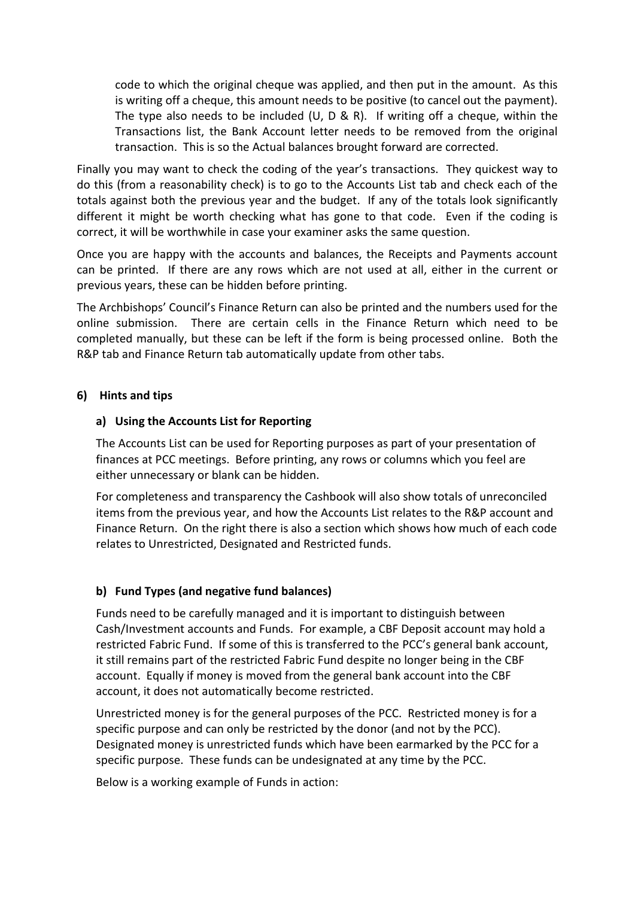code to which the original cheque was applied, and then put in the amount. As this is writing off a cheque, this amount needs to be positive (to cancel out the payment). The type also needs to be included (U, D & R). If writing off a cheque, within the Transactions list, the Bank Account letter needs to be removed from the original transaction. This is so the Actual balances brought forward are corrected.

Finally you may want to check the coding of the year's transactions. They quickest way to do this (from a reasonability check) is to go to the Accounts List tab and check each of the totals against both the previous year and the budget. If any of the totals look significantly different it might be worth checking what has gone to that code. Even if the coding is correct, it will be worthwhile in case your examiner asks the same question.

Once you are happy with the accounts and balances, the Receipts and Payments account can be printed. If there are any rows which are not used at all, either in the current or previous years, these can be hidden before printing.

The Archbishops' Council's Finance Return can also be printed and the numbers used for the online submission. There are certain cells in the Finance Return which need to be completed manually, but these can be left if the form is being processed online. Both the R&P tab and Finance Return tab automatically update from other tabs.

#### <span id="page-11-0"></span>**6) Hints and tips**

#### **a) Using the Accounts List for Reporting**

The Accounts List can be used for Reporting purposes as part of your presentation of finances at PCC meetings. Before printing, any rows or columns which you feel are either unnecessary or blank can be hidden.

For completeness and transparency the Cashbook will also show totals of unreconciled items from the previous year, and how the Accounts List relates to the R&P account and Finance Return. On the right there is also a section which shows how much of each code relates to Unrestricted, Designated and Restricted funds.

#### **b) Fund Types (and negative fund balances)**

Funds need to be carefully managed and it is important to distinguish between Cash/Investment accounts and Funds. For example, a CBF Deposit account may hold a restricted Fabric Fund. If some of this is transferred to the PCC's general bank account, it still remains part of the restricted Fabric Fund despite no longer being in the CBF account. Equally if money is moved from the general bank account into the CBF account, it does not automatically become restricted.

Unrestricted money is for the general purposes of the PCC. Restricted money is for a specific purpose and can only be restricted by the donor (and not by the PCC). Designated money is unrestricted funds which have been earmarked by the PCC for a specific purpose. These funds can be undesignated at any time by the PCC.

Below is a working example of Funds in action: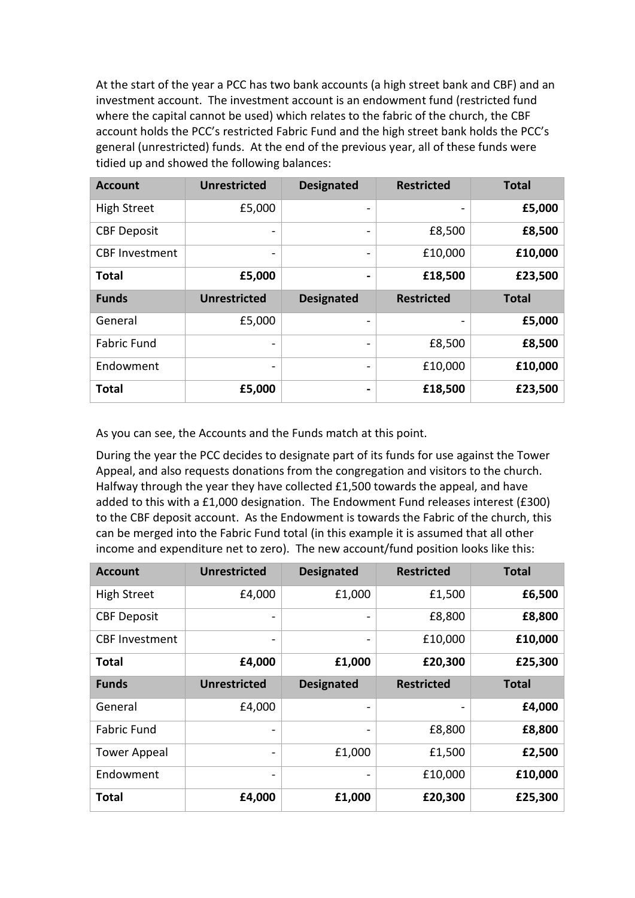At the start of the year a PCC has two bank accounts (a high street bank and CBF) and an investment account. The investment account is an endowment fund (restricted fund where the capital cannot be used) which relates to the fabric of the church, the CBF account holds the PCC's restricted Fabric Fund and the high street bank holds the PCC's general (unrestricted) funds. At the end of the previous year, all of these funds were tidied up and showed the following balances:

| <b>Account</b>        | <b>Unrestricted</b>      | <b>Designated</b>        | <b>Restricted</b> | <b>Total</b> |
|-----------------------|--------------------------|--------------------------|-------------------|--------------|
| <b>High Street</b>    | £5,000                   |                          |                   | £5,000       |
| <b>CBF Deposit</b>    |                          |                          | £8,500            | £8,500       |
| <b>CBF Investment</b> | $\overline{\phantom{a}}$ | $\overline{\phantom{0}}$ | £10,000           | £10,000      |
| <b>Total</b>          | £5,000                   | -                        | £18,500           | £23,500      |
|                       |                          |                          |                   |              |
| <b>Funds</b>          | <b>Unrestricted</b>      | <b>Designated</b>        | <b>Restricted</b> | <b>Total</b> |
| General               | £5,000                   |                          |                   | £5,000       |
| <b>Fabric Fund</b>    | $\overline{\phantom{0}}$ | $\overline{\phantom{0}}$ | £8,500            | £8,500       |
| Endowment             | $\overline{\phantom{0}}$ | $\overline{\phantom{0}}$ | £10,000           | £10,000      |

As you can see, the Accounts and the Funds match at this point.

During the year the PCC decides to designate part of its funds for use against the Tower Appeal, and also requests donations from the congregation and visitors to the church. Halfway through the year they have collected £1,500 towards the appeal, and have added to this with a £1,000 designation. The Endowment Fund releases interest (£300) to the CBF deposit account. As the Endowment is towards the Fabric of the church, this can be merged into the Fabric Fund total (in this example it is assumed that all other income and expenditure net to zero). The new account/fund position looks like this:

| <b>Account</b>        | <b>Unrestricted</b>          | <b>Designated</b> | <b>Restricted</b> | <b>Total</b> |
|-----------------------|------------------------------|-------------------|-------------------|--------------|
| <b>High Street</b>    | £4,000                       | £1,000            | £1,500            | £6,500       |
| <b>CBF Deposit</b>    | -                            |                   | £8,800            | £8,800       |
| <b>CBF</b> Investment | $\overline{\phantom{0}}$     |                   | £10,000           | £10,000      |
| <b>Total</b>          | £4,000                       | £1,000            | £20,300           | £25,300      |
| <b>Funds</b>          | <b>Unrestricted</b>          | <b>Designated</b> | <b>Restricted</b> | <b>Total</b> |
| General               | £4,000                       |                   |                   | £4,000       |
| <b>Fabric Fund</b>    | -                            |                   | £8,800            | £8,800       |
| <b>Tower Appeal</b>   | $\qquad \qquad \blacksquare$ | £1,000            | £1,500            | £2,500       |
| Endowment             |                              |                   | £10,000           | £10,000      |
| <b>Total</b>          | £4,000                       | £1,000            | £20,300           | £25,300      |